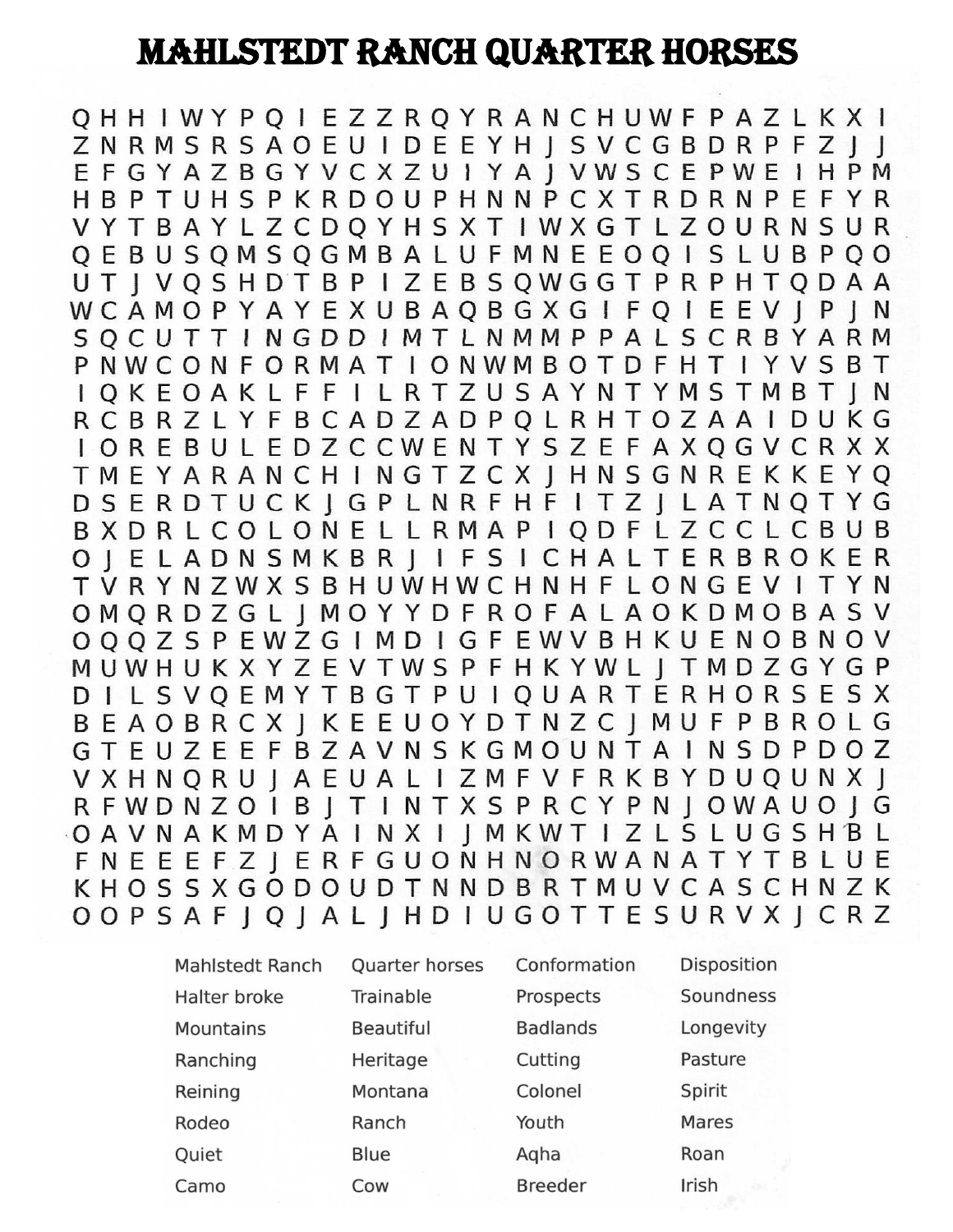## Mahlstedt Ranch Quarter Horses

OHHIWYPQIEZZRQYRANCHUWFPAZLKXI ZNRMSRSAOEUIDEEYHISVCGBDRPFZII EFGYAZBGYVCXZUIYAJVWSCEPWEIHPM HBPTUHSPKRDOUPHNNPCXTRDRNPEFYR VYTBAYLZCDOYHSXTIWXGTLZOURNSUR QEBUSQMSQGMBALUFMNEEOQISLUBPQO UTIVOSHDTBPIZEBSQWGGTPRPHTQDAA WCAMOPYAYEXUBAQBGXGIFQIEEVIPIN **SOCUTTINGDDIMTLNMMPPALSCRBYARM** PNWCONFORMATIONWMBOTDFHTIYVSBT **IOKEOAKLFFILRTZUSAYNTYMSTMBTIN** RCBRZLYFBCADZADPOLRHTOZAAIDUKG **IOREBULEDZCCWENTYSZEFAXQGVCRXX** TMEYARANCHINGTZCX JHNSGNREKKEYQ DSERDTUCKIGPLNRFHFITZILATNQTYG BXDRLCOLONELLRMAPIODFLZCCLCBUB OIELADNSMKBRIIFSICHALTERBROKER TVRYNZWXSBHUWHWCHNHFLONGEVITYN OMQRDZGLJMOYYDFROFALAOKDMOBASV O Q Q Z S P E W Z G I M D I G F E W V B H K U E N O B N O V MUWHUKXYZEVTWSPFHKYWLJTMDZGYGP DILSVQEMYTBGTPUIQUARTERHORSESX BEAOBRCX J KEEU O Y D T N Z C J M U F P B R O L G GTEUZEEFBZAVNSKGMOUNTAINSDPDOZ VXHNORU | AEUALIZMFVFRKBYDUQUNX | RFWDNZOIBITINTXSPRCYPNIOWAUOIG O A V N A K M D Y A I N X I I M K W T I Z L S L U G S H B L FNEEEFZ JERFGUONHNORWANATYTBLUE KHOSSXGODOUDTNNDBRTMUVCASCHNZK OOPSAFIQIALIHDIUGOTTESURVXICRZ

| <b>Mahlstedt Ranch</b> | Quarter horses   | Conformation    | Disposition |
|------------------------|------------------|-----------------|-------------|
| Halter broke           | Trainable        | Prospects       | Soundness   |
| <b>Mountains</b>       | <b>Beautiful</b> | <b>Badlands</b> | Longevity   |
| Ranching               | Heritage         | Cutting         | Pasture     |
| Reining                | Montana          | Colonel         | Spirit      |
| Rodeo                  | Ranch            | Youth           | Mares       |
| Quiet                  | Blue             | Aqha            | Roan        |
| Camo                   | Cow              | <b>Breeder</b>  | Irish       |

**STATISTICS**